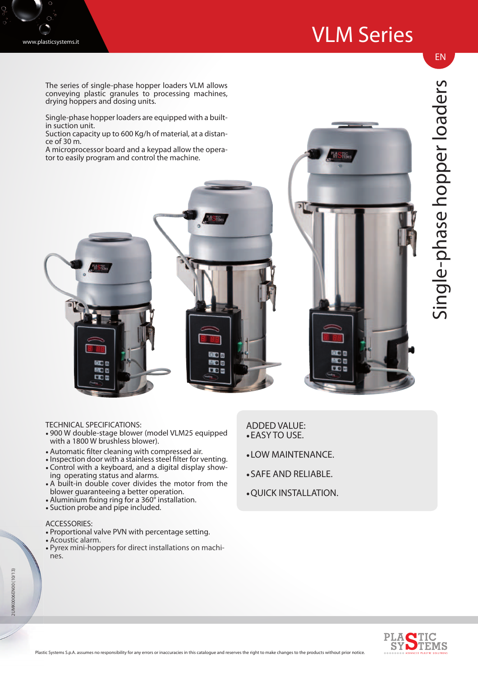## VLM Series



The series of single-phase hopper loaders VLM allows conveying plastic granules to processing machines, drying hoppers and dosing units.

Single-phase hopper loaders are equipped with a builtin suction unit.

Suction capacity up to 600 Kg/h of material, at a distance of 30 m.

A microprocessor board and a keypad allow the operator to easily program and control the machine.



EN

TECHNICAL SPECIFICATIONS:

- 900 W double-stage blower (model VLM25 equipped with a 1800 W brushless blower).
- Automatic filter cleaning with compressed air.
- Inspection door with a stainless steel filter for venting. • Control with a keyboard, and a digital display show-
- ing operating status and alarms. • A built-in double cover divides the motor from the
- blower guaranteeing a better operation.
- Aluminium fixing ring for a 360° installation.
- Suction probe and pipe included.

## ACCESSORIES:

- Proportional valve PVN with percentage setting.
- Acoustic alarm.
- Pyrex mini-hoppers for direct installations on machines.

## ADDED VALUE: • EASY TO USE.

**JOK** 

**AOB** 

**R**O<sub>M</sub>

- LOW MAINTENANCE.
- SAFE AND RELIABLE.
- QUICK INSTALLATION.